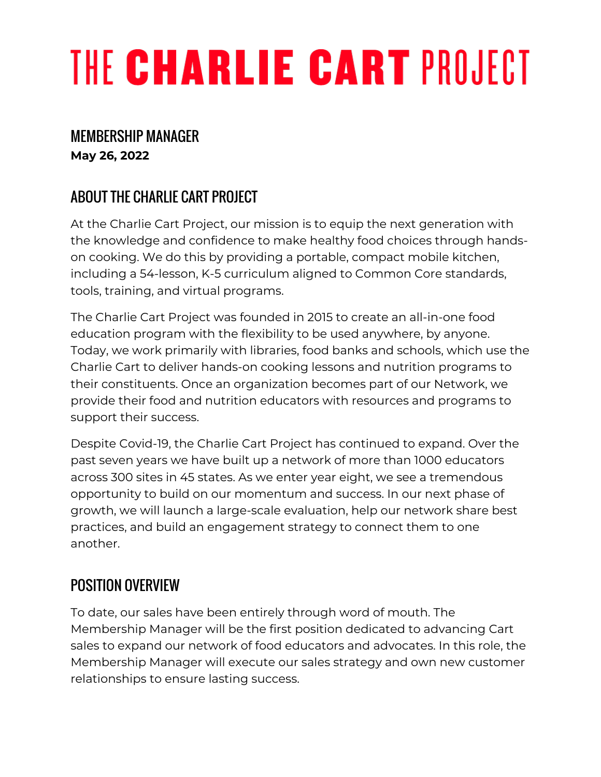# THE CHARLIE CART PROJECT

### MEMBERSHIP MANAGER

**May 26, 2022**

# ABOUT THE CHARLIE CART PROJECT

At the Charlie Cart Project, our mission is to equip the next generation with the knowledge and confidence to make healthy food choices through handson cooking. We do this by providing a portable, compact mobile kitchen, including a 54-lesson, K-5 curriculum aligned to Common Core standards, tools, training, and virtual programs.

The Charlie Cart Project was founded in 2015 to create an all-in-one food education program with the flexibility to be used anywhere, by anyone. Today, we work primarily with libraries, food banks and schools, which use the Charlie Cart to deliver hands-on cooking lessons and nutrition programs to their constituents. Once an organization becomes part of our Network, we provide their food and nutrition educators with resources and programs to support their success.

Despite Covid-19, the Charlie Cart Project has continued to expand. Over the past seven years we have built up a network of more than 1000 educators across 300 sites in 45 states. As we enter year eight, we see a tremendous opportunity to build on our momentum and success. In our next phase of growth, we will launch a large-scale evaluation, help our network share best practices, and build an engagement strategy to connect them to one another.

# POSITION OVERVIEW

To date, our sales have been entirely through word of mouth. The Membership Manager will be the first position dedicated to advancing Cart sales to expand our network of food educators and advocates. In this role, the Membership Manager will execute our sales strategy and own new customer relationships to ensure lasting success.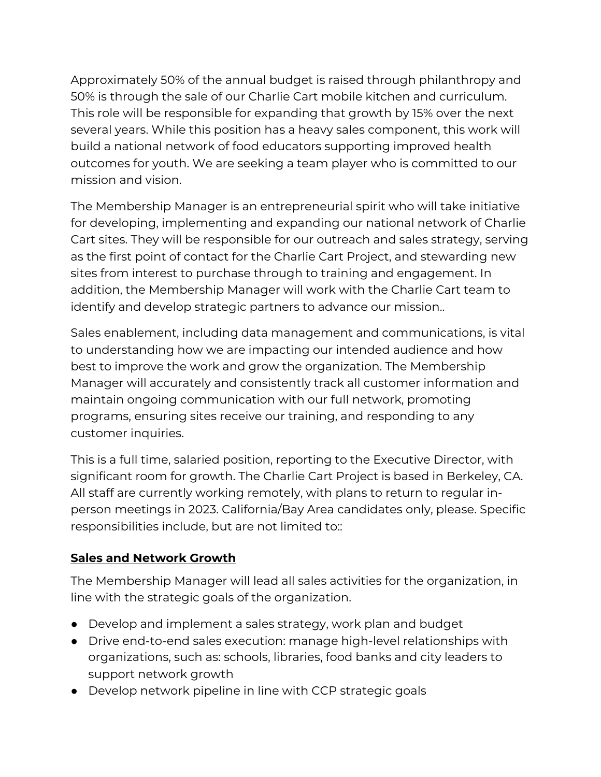Approximately 50% of the annual budget is raised through philanthropy and 50% is through the sale of our Charlie Cart mobile kitchen and curriculum. This role will be responsible for expanding that growth by 15% over the next several years. While this position has a heavy sales component, this work will build a national network of food educators supporting improved health outcomes for youth. We are seeking a team player who is committed to our mission and vision.

The Membership Manager is an entrepreneurial spirit who will take initiative for developing, implementing and expanding our national network of Charlie Cart sites. They will be responsible for our outreach and sales strategy, serving as the first point of contact for the Charlie Cart Project, and stewarding new sites from interest to purchase through to training and engagement. In addition, the Membership Manager will work with the Charlie Cart team to identify and develop strategic partners to advance our mission..

Sales enablement, including data management and communications, is vital to understanding how we are impacting our intended audience and how best to improve the work and grow the organization. The Membership Manager will accurately and consistently track all customer information and maintain ongoing communication with our full network, promoting programs, ensuring sites receive our training, and responding to any customer inquiries.

This is a full time, salaried position, reporting to the Executive Director, with significant room for growth. The Charlie Cart Project is based in Berkeley, CA. All staff are currently working remotely, with plans to return to regular inperson meetings in 2023. California/Bay Area candidates only, please. Specific responsibilities include, but are not limited to::

#### **Sales and Network Growth**

The Membership Manager will lead all sales activities for the organization, in line with the strategic goals of the organization.

- Develop and implement a sales strategy, work plan and budget
- Drive end-to-end sales execution: manage high-level relationships with organizations, such as: schools, libraries, food banks and city leaders to support network growth
- Develop network pipeline in line with CCP strategic goals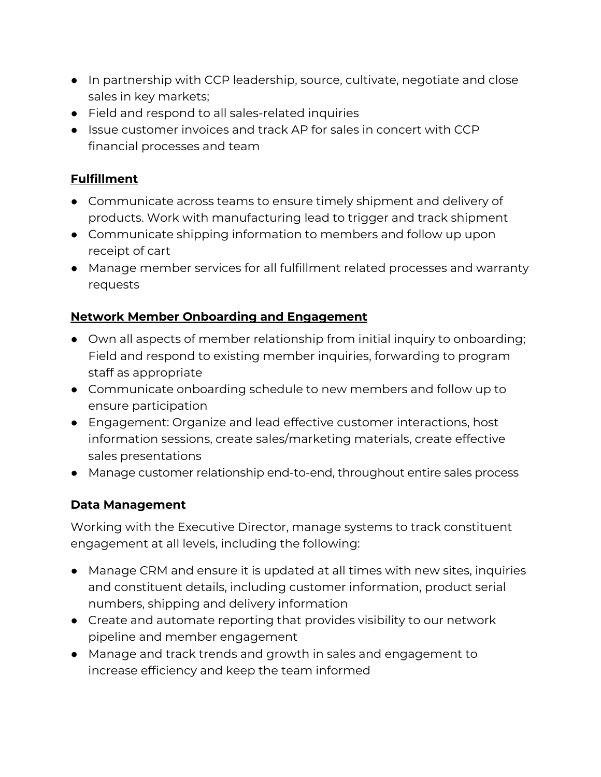- In partnership with CCP leadership, source, cultivate, negotiate and close sales in key markets;
- Field and respond to all sales-related inquiries
- Issue customer invoices and track AP for sales in concert with CCP financial processes and team

#### **Fulfillment**

- Communicate across teams to ensure timely shipment and delivery of products. Work with manufacturing lead to trigger and track shipment
- Communicate shipping information to members and follow up upon receipt of cart
- Manage member services for all fulfillment related processes and warranty requests

#### **Network Member Onboarding and Engagement**

- Own all aspects of member relationship from initial inquiry to onboarding; Field and respond to existing member inquiries, forwarding to program staff as appropriate
- Communicate onboarding schedule to new members and follow up to ensure participation
- Engagement: Organize and lead effective customer interactions, host information sessions, create sales/marketing materials, create effective sales presentations
- Manage customer relationship end-to-end, throughout entire sales process

#### **Data Management**

Working with the Executive Director, manage systems to track constituent engagement at all levels, including the following:

- Manage CRM and ensure it is updated at all times with new sites, inquiries and constituent details, including customer information, product serial numbers, shipping and delivery information
- Create and automate reporting that provides visibility to our network pipeline and member engagement
- Manage and track trends and growth in sales and engagement to increase efficiency and keep the team informed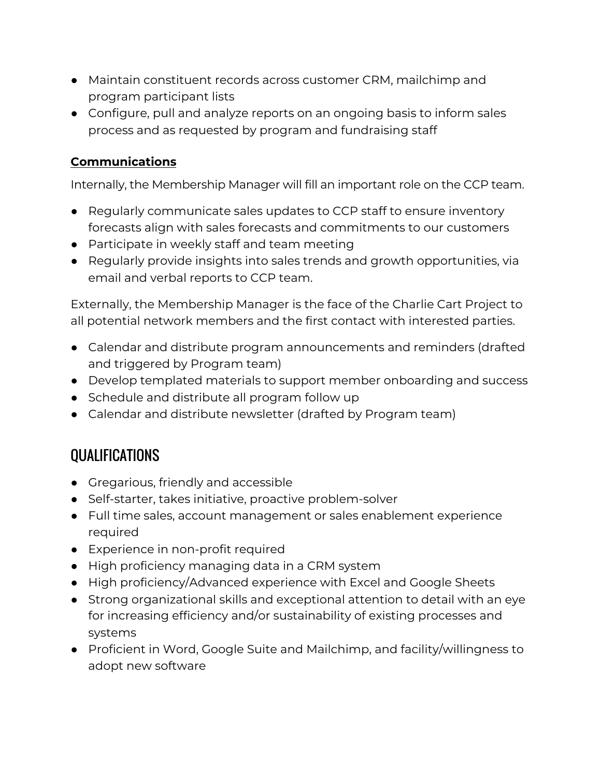- Maintain constituent records across customer CRM, mailchimp and program participant lists
- Configure, pull and analyze reports on an ongoing basis to inform sales process and as requested by program and fundraising staff

#### **Communications**

Internally, the Membership Manager will fill an important role on the CCP team.

- Regularly communicate sales updates to CCP staff to ensure inventory forecasts align with sales forecasts and commitments to our customers
- Participate in weekly staff and team meeting
- Regularly provide insights into sales trends and growth opportunities, via email and verbal reports to CCP team.

Externally, the Membership Manager is the face of the Charlie Cart Project to all potential network members and the first contact with interested parties.

- Calendar and distribute program announcements and reminders (drafted and triggered by Program team)
- Develop templated materials to support member onboarding and success
- Schedule and distribute all program follow up
- Calendar and distribute newsletter (drafted by Program team)

## **OUALIFICATIONS**

- Gregarious, friendly and accessible
- Self-starter, takes initiative, proactive problem-solver
- Full time sales, account management or sales enablement experience required
- Experience in non-profit required
- High proficiency managing data in a CRM system
- High proficiency/Advanced experience with Excel and Google Sheets
- Strong organizational skills and exceptional attention to detail with an eye for increasing efficiency and/or sustainability of existing processes and systems
- Proficient in Word, Google Suite and Mailchimp, and facility/willingness to adopt new software